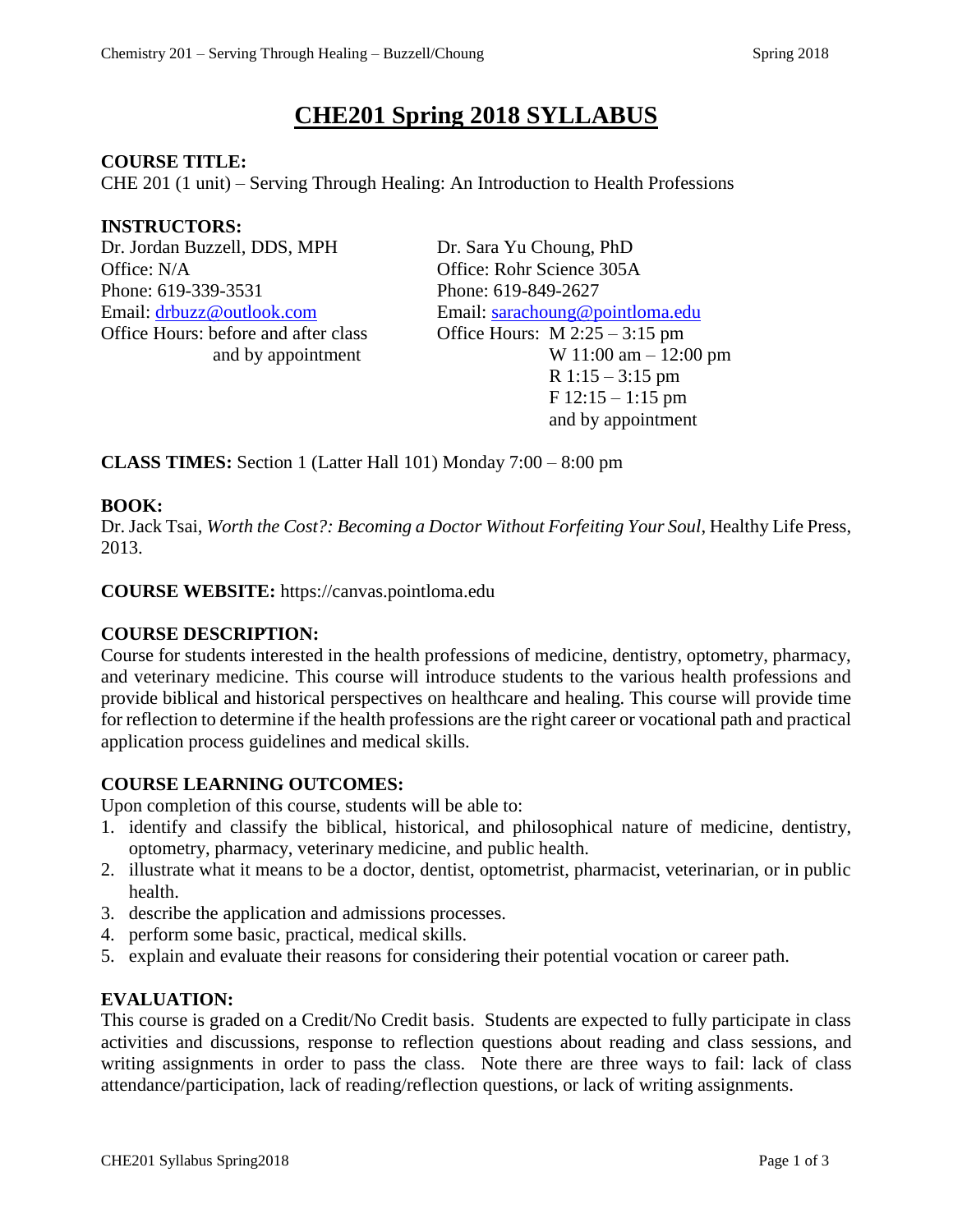# **CHE201 Spring 2018 SYLLABUS**

#### **COURSE TITLE:**

CHE 201 (1 unit) – Serving Through Healing: An Introduction to Health Professions

#### **INSTRUCTORS:**

Dr. Jordan Buzzell, DDS, MPH Dr. Sara Yu Choung, PhD Office: N/A Office: Rohr Science 305A Phone: 619-339-3531 Phone: 619-849-2627 Office Hours: before and after class Office Hours: M 2:25 – 3:15 pm

Email: [drbuzz@outlook.com](mailto:drbuzz@outlook.com) Email: [sarachoung@pointloma.edu](mailto:sarachoung@pointloma.edu) and by appointment  $W 11:00$  am  $- 12:00$  pm  $R$  1:15 – 3:15 pm F 12:15 – 1:15 pm and by appointment

**CLASS TIMES:** Section 1 (Latter Hall 101) Monday 7:00 – 8:00 pm

## **BOOK:**

Dr. Jack Tsai, *Worth the Cost?: Becoming a Doctor Without Forfeiting Your Soul*, Healthy Life Press, 2013.

**COURSE WEBSITE:** https://canvas.pointloma.edu

## **COURSE DESCRIPTION:**

Course for students interested in the health professions of medicine, dentistry, optometry, pharmacy, and veterinary medicine. This course will introduce students to the various health professions and provide biblical and historical perspectives on healthcare and healing. This course will provide time for reflection to determine if the health professions are the right career or vocational path and practical application process guidelines and medical skills.

## **COURSE LEARNING OUTCOMES:**

Upon completion of this course, students will be able to:

- 1. identify and classify the biblical, historical, and philosophical nature of medicine, dentistry, optometry, pharmacy, veterinary medicine, and public health.
- 2. illustrate what it means to be a doctor, dentist, optometrist, pharmacist, veterinarian, or in public health.
- 3. describe the application and admissions processes.
- 4. perform some basic, practical, medical skills.
- 5. explain and evaluate their reasons for considering their potential vocation or career path.

## **EVALUATION:**

This course is graded on a Credit/No Credit basis. Students are expected to fully participate in class activities and discussions, response to reflection questions about reading and class sessions, and writing assignments in order to pass the class. Note there are three ways to fail: lack of class attendance/participation, lack of reading/reflection questions, or lack of writing assignments.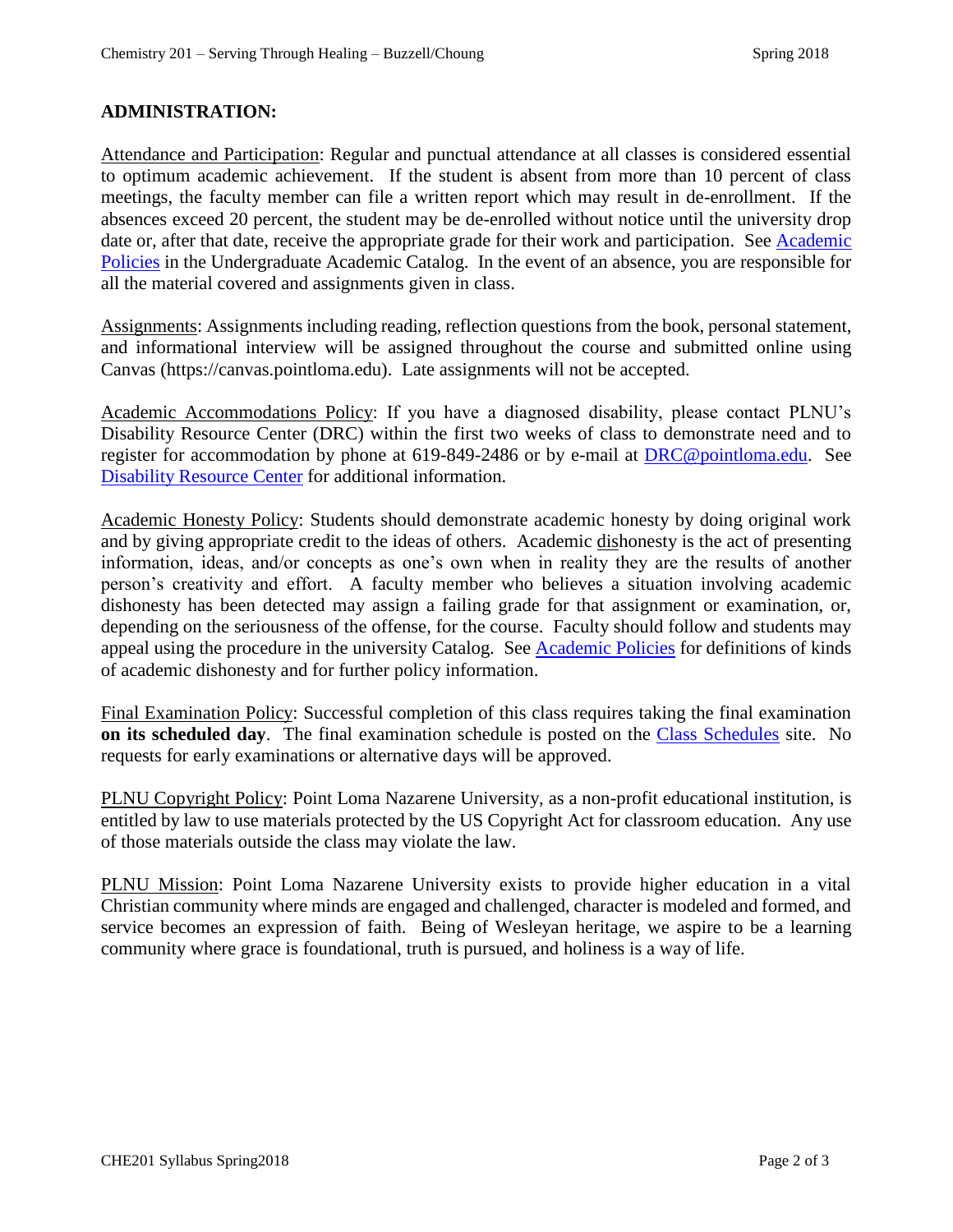## **ADMINISTRATION:**

Attendance and Participation: Regular and punctual attendance at all classes is considered essential to optimum academic achievement. If the student is absent from more than 10 percent of class meetings, the faculty member can file a written report which may result in de-enrollment. If the absences exceed 20 percent, the student may be de-enrolled without notice until the university drop date or, after that date, receive the appropriate grade for their work and participation. See Academic [Policies](http://catalog.pointloma.edu/content.php?catoid=18&navoid=1278) in the Undergraduate Academic Catalog. In the event of an absence, you are responsible for all the material covered and assignments given in class.

Assignments: Assignments including reading, reflection questions from the book, personal statement, and informational interview will be assigned throughout the course and submitted online using Canvas (https://canvas.pointloma.edu). Late assignments will not be accepted.

Academic Accommodations Policy: If you have a diagnosed disability, please contact PLNU's Disability Resource Center (DRC) within the first two weeks of class to demonstrate need and to register for accommodation by phone at 619-849-2486 or by e-mail at [DRC@pointloma.edu.](mailto:DRC@pointloma.edu) See [Disability Resource Center](http://www.pointloma.edu/experience/offices/administrative-offices/academic-advising-office/disability-resource-center) for additional information.

Academic Honesty Policy: Students should demonstrate academic honesty by doing original work and by giving appropriate credit to the ideas of others. Academic dishonesty is the act of presenting information, ideas, and/or concepts as one's own when in reality they are the results of another person's creativity and effort. A faculty member who believes a situation involving academic dishonesty has been detected may assign a failing grade for that assignment or examination, or, depending on the seriousness of the offense, for the course. Faculty should follow and students may appeal using the procedure in the university Catalog. See **Academic Policies** for definitions of kinds of academic dishonesty and for further policy information.

Final Examination Policy: Successful completion of this class requires taking the final examination **on its scheduled day**. The final examination schedule is posted on the [Class Schedules](http://www.pointloma.edu/experience/academics/class-schedules) site. No requests for early examinations or alternative days will be approved.

PLNU Copyright Policy: Point Loma Nazarene University, as a non-profit educational institution, is entitled by law to use materials protected by the US Copyright Act for classroom education. Any use of those materials outside the class may violate the law.

PLNU Mission: Point Loma Nazarene University exists to provide higher education in a vital Christian community where minds are engaged and challenged, character is modeled and formed, and service becomes an expression of faith. Being of Wesleyan heritage, we aspire to be a learning community where grace is foundational, truth is pursued, and holiness is a way of life.